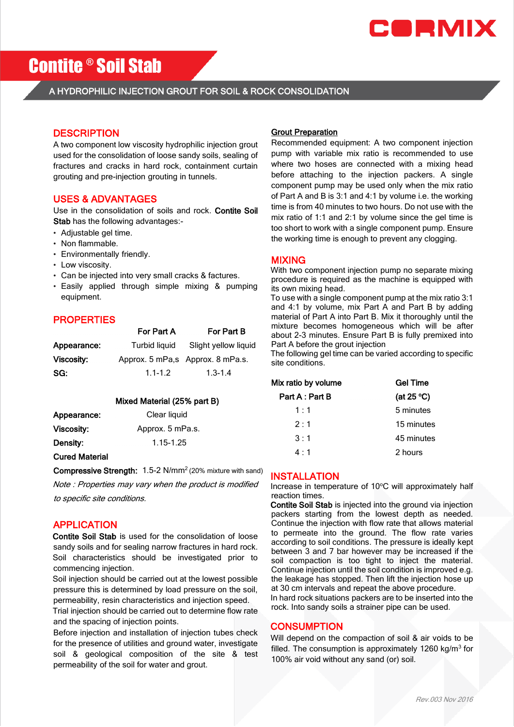

# Contite ® Soil Stab

# A HYDROPHILIC INJECTION GROUT FOR SOIL & ROCK CONSOLIDATION

# **DESCRIPTION**

A two component low viscosity hydrophilic injection grout used for the consolidation of loose sandy soils, sealing of fractures and cracks in hard rock, containment curtain grouting and pre-injection grouting in tunnels.

### USES & ADVANTAGES

Use in the consolidation of soils and rock. Contite Soil Stab has the following advantages:-

- Adjustable gel time.
- Non flammable.
- Environmentally friendly.
- Low viscosity.
- Can be injected into very small cracks & factures.
- Easily applied through simple mixing & pumping equipment.

# **PROPERTIES**

|             | For Part A    | For Part B                        |
|-------------|---------------|-----------------------------------|
| Appearance: | Turbid liguid | Slight yellow liquid              |
| Viscosity:  |               | Approx. 5 mPa, s Approx. 8 mPa.s. |
| SG:         | $1.1 - 1.2$   | $1.3 - 1.4$                       |

#### Mixed Material (25% part B)

| Appearance: | Clear liquid     |
|-------------|------------------|
| Viscosity:  | Approx. 5 mPa.s. |
| Density:    | 1.15-1.25        |

### Cured Material

Compressive Strength: 1.5-2 N/mm<sup>2</sup> (20% mixture with sand)

Note : Properties may vary when the product is modified

to specific site conditions.

# APPLICATION

Contite Soil Stab is used for the consolidation of loose sandy soils and for sealing narrow fractures in hard rock. Soil characteristics should be investigated prior to commencing injection.

Soil injection should be carried out at the lowest possible pressure this is determined by load pressure on the soil, permeability, resin characteristics and injection speed.

Trial injection should be carried out to determine flow rate and the spacing of injection points.

Before injection and installation of injection tubes check for the presence of utilities and ground water, investigate soil & geological composition of the site & test permeability of the soil for water and grout.

#### Grout Preparation

Recommended equipment: A two component injection pump with variable mix ratio is recommended to use where two hoses are connected with a mixing head before attaching to the injection packers. A single component pump may be used only when the mix ratio of Part A and B is 3:1 and 4:1 by volume i.e. the working time is from 40 minutes to two hours. Do not use with the mix ratio of 1:1 and 2:1 by volume since the gel time is too short to work with a single component pump. Ensure the working time is enough to prevent any clogging.

# MIXING

With two component injection pump no separate mixing procedure is required as the machine is equipped with its own mixing head.

To use with a single component pump at the mix ratio 3:1 and 4:1 by volume, mix Part A and Part B by adding material of Part A into Part B. Mix it thoroughly until the mixture becomes homogeneous which will be after about 2-3 minutes. Ensure Part B is fully premixed into Part A before the grout injection

The following gel time can be varied according to specific site conditions.

| Mix ratio by volume | <b>Gel Time</b> |
|---------------------|-----------------|
| Part A : Part B     | (at 25 $°C$ )   |
| 1:1                 | 5 minutes       |
| 2:1                 | 15 minutes      |
| 3:1                 | 45 minutes      |
| $4 \cdot 1$         | 2 hours         |

### INSTALLATION

Increase in temperature of 10°C will approximately half reaction times.

Contite Soil Stab is injected into the ground via injection packers starting from the lowest depth as needed. Continue the injection with flow rate that allows material to permeate into the ground. The flow rate varies according to soil conditions. The pressure is ideally kept between 3 and 7 bar however may be increased if the soil compaction is too tight to inject the material. Continue injection until the soil condition is improved e.g. the leakage has stopped. Then lift the injection hose up at 30 cm intervals and repeat the above procedure. In hard rock situations packers are to be inserted into the rock. Into sandy soils a strainer pipe can be used.

### **CONSUMPTION**

Will depend on the compaction of soil & air voids to be filled. The consumption is approximately  $1260 \text{ kg/m}^3$  for 100% air void without any sand (or) soil.